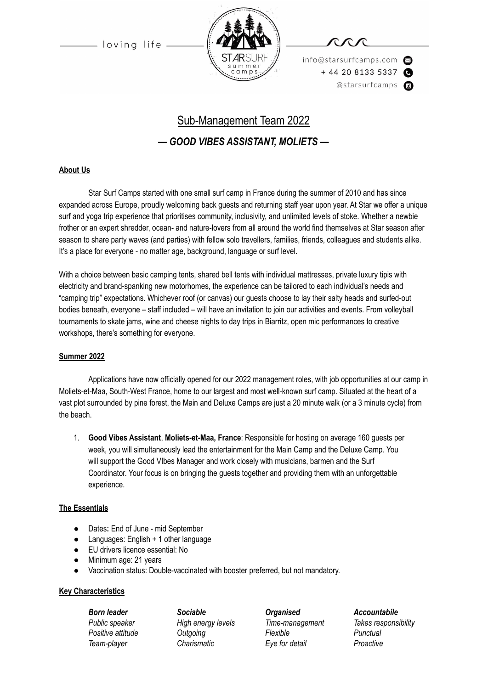

info@starsurfcamps.com  $+442081335337$ @starsurfcamps @

# Sub-Management Team 2022

## *— GOOD VIBES ASSISTANT, MOLIETS —*

#### **About Us**

Star Surf Camps started with one small surf camp in France during the summer of 2010 and has since expanded across Europe, proudly welcoming back guests and returning staff year upon year. At Star we offer a unique surf and yoga trip experience that prioritises community, inclusivity, and unlimited levels of stoke. Whether a newbie frother or an expert shredder, ocean- and nature-lovers from all around the world find themselves at Star season after season to share party waves (and parties) with fellow solo travellers, families, friends, colleagues and students alike. It's a place for everyone - no matter age, background, language or surf level.

With a choice between basic camping tents, shared bell tents with individual mattresses, private luxury tipis with electricity and brand-spanking new motorhomes, the experience can be tailored to each individual's needs and "camping trip" expectations. Whichever roof (or canvas) our guests choose to lay their salty heads and surfed-out bodies beneath, everyone – staff included – will have an invitation to join our activities and events. From volleyball tournaments to skate jams, wine and cheese nights to day trips in Biarritz, open mic performances to creative workshops, there's something for everyone.

#### **Summer 2022**

Applications have now officially opened for our 2022 management roles, with job opportunities at our camp in Moliets-et-Maa, South-West France, home to our largest and most well-known surf camp. Situated at the heart of a vast plot surrounded by pine forest, the Main and Deluxe Camps are just a 20 minute walk (or a 3 minute cycle) from the beach.

1. **Good Vibes Assistant**, **Moliets-et-Maa, France**: Responsible for hosting on average 160 guests per week, you will simultaneously lead the entertainment for the Main Camp and the Deluxe Camp. You will support the Good VIbes Manager and work closely with musicians, barmen and the Surf Coordinator. Your focus is on bringing the guests together and providing them with an unforgettable experience.

#### **The Essentials**

- Dates**:** End of June mid September
- Languages: English  $+1$  other language
- EU drivers licence essential: No
- Minimum age: 21 years
- Vaccination status: Double-vaccinated with booster preferred, but not mandatory.

#### **Key Characteristics**

*Born leader Sociable Organised Accountabile*

*Public speaker High energy levels Time-management Takes responsibility Positive attitude Outgoing Flexible Punctual Team-player Charismatic Eye for detail Proactive*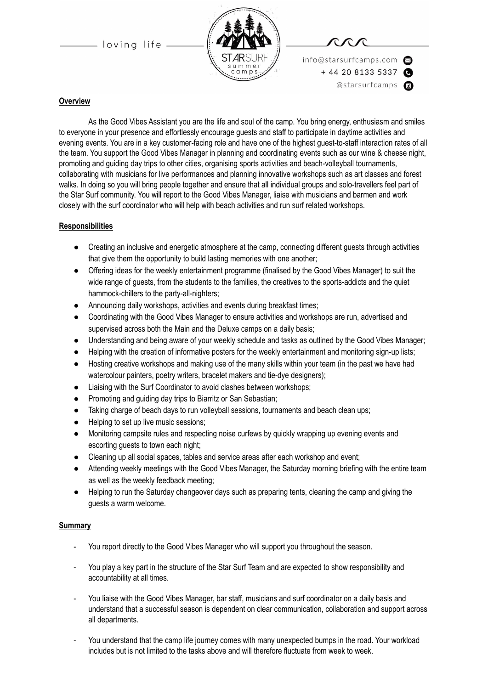



info@starsurfcamps.com  $+442081335337$ @starsurfcamps @

#### **Overview**

As the Good Vibes Assistant you are the life and soul of the camp. You bring energy, enthusiasm and smiles to everyone in your presence and effortlessly encourage guests and staff to participate in daytime activities and evening events. You are in a key customer-facing role and have one of the highest guest-to-staff interaction rates of all the team. You support the Good Vibes Manager in planning and coordinating events such as our wine & cheese night, promoting and guiding day trips to other cities, organising sports activities and beach-volleyball tournaments, collaborating with musicians for live performances and planning innovative workshops such as art classes and forest walks. In doing so you will bring people together and ensure that all individual groups and solo-travellers feel part of the Star Surf community. You will report to the Good Vibes Manager, liaise with musicians and barmen and work closely with the surf coordinator who will help with beach activities and run surf related workshops.

#### **Responsibilities**

- Creating an inclusive and energetic atmosphere at the camp, connecting different guests through activities that give them the opportunity to build lasting memories with one another;
- Offering ideas for the weekly entertainment programme (finalised by the Good Vibes Manager) to suit the wide range of guests, from the students to the families, the creatives to the sports-addicts and the quiet hammock-chillers to the party-all-nighters;
- Announcing daily workshops, activities and events during breakfast times;
- Coordinating with the Good Vibes Manager to ensure activities and workshops are run, advertised and supervised across both the Main and the Deluxe camps on a daily basis;
- Understanding and being aware of your weekly schedule and tasks as outlined by the Good Vibes Manager;
- Helping with the creation of informative posters for the weekly entertainment and monitoring sign-up lists;
- Hosting creative workshops and making use of the many skills within your team (in the past we have had watercolour painters, poetry writers, bracelet makers and tie-dye designers);
- Liaising with the Surf Coordinator to avoid clashes between workshops;
- Promoting and guiding day trips to Biarritz or San Sebastian;
- Taking charge of beach days to run volleyball sessions, tournaments and beach clean ups;
- Helping to set up live music sessions;
- Monitoring campsite rules and respecting noise curfews by quickly wrapping up evening events and escorting guests to town each night;
- Cleaning up all social spaces, tables and service areas after each workshop and event;
- Attending weekly meetings with the Good Vibes Manager, the Saturday morning briefing with the entire team as well as the weekly feedback meeting;
- Helping to run the Saturday changeover days such as preparing tents, cleaning the camp and giving the guests a warm welcome.

#### **Summary**

- You report directly to the Good Vibes Manager who will support you throughout the season.
- You play a key part in the structure of the Star Surf Team and are expected to show responsibility and accountability at all times.
- You liaise with the Good Vibes Manager, bar staff, musicians and surf coordinator on a daily basis and understand that a successful season is dependent on clear communication, collaboration and support across all departments.
- You understand that the camp life journey comes with many unexpected bumps in the road. Your workload includes but is not limited to the tasks above and will therefore fluctuate from week to week.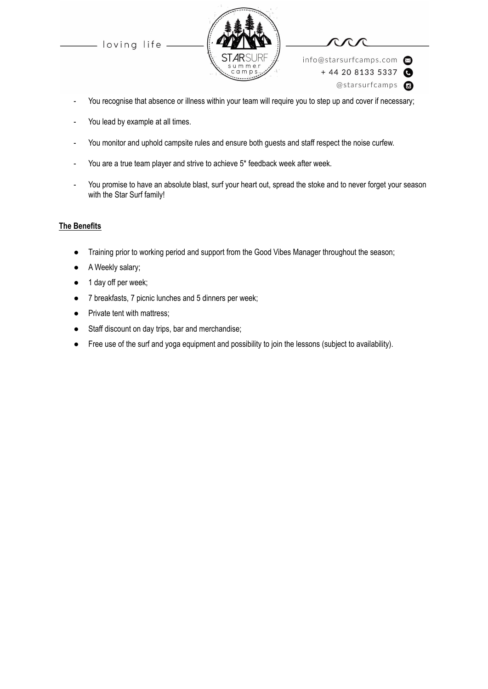



info@starsurfcamps.com  $+442081335337$ @starsurfcamps c

- You recognise that absence or illness within your team will require you to step up and cover if necessary;
- You lead by example at all times.
- You monitor and uphold campsite rules and ensure both guests and staff respect the noise curfew.
- You are a true team player and strive to achieve 5\* feedback week after week.
- You promise to have an absolute blast, surf your heart out, spread the stoke and to never forget your season with the Star Surf family!

#### **The Benefits**

- Training prior to working period and support from the Good Vibes Manager throughout the season;
- A Weekly salary;
- 1 day off per week;
- 7 breakfasts, 7 picnic lunches and 5 dinners per week;
- Private tent with mattress;
- Staff discount on day trips, bar and merchandise;
- Free use of the surf and yoga equipment and possibility to join the lessons (subject to availability).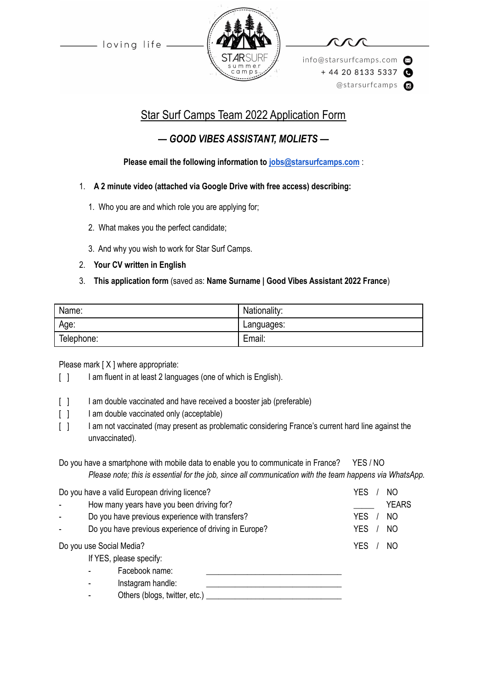

info@starsurfcamps.com  $+442081335337$ @starsurfcamps @

# Star Surf Camps Team 2022 Application Form

## *— GOOD VIBES ASSISTANT, MOLIETS —*

### **Please email the following information to [jobs@starsurfcamps.com](mailto:jobs@starsurfcamps.com)** :

- 1. **A 2 minute video (attached via Google Drive with free access) describing:**
	- 1️. Who you are and which role you are applying for;
	- 2. What makes you the perfect candidate;
	- 3️. And why you wish to work for Star Surf Camps.
- 2. **Your CV written in English**

### 3. **This application form** (saved as: **Name Surname | Good Vibes Assistant 2022 France**)

| Name:      | Nationality: |
|------------|--------------|
| Age:       | Languages:   |
| Telephone: | Email:       |

Please mark [X ] where appropriate:

- [ ] I am fluent in at least 2 languages (one of which is English).
- [ ] I am double vaccinated and have received a booster jab (preferable)
- [ ] I am double vaccinated only (acceptable)
- [ ] I am not vaccinated (may present as problematic considering France's current hard line against the unvaccinated).

Do you have a smartphone with mobile data to enable you to communicate in France? YES / NO *Please note; this is essential for the job, since all communication with the team happens via WhatsApp.*

| Do you have a valid European driving licence? |                                                       |                   | <b>YES</b><br>NO. |
|-----------------------------------------------|-------------------------------------------------------|-------------------|-------------------|
|                                               | How many years have you been driving for?             |                   | <b>YEARS</b>      |
|                                               | Do you have previous experience with transfers?       |                   | <b>YES</b><br>NO. |
|                                               | Do you have previous experience of driving in Europe? | <b>YES</b><br>NO. |                   |
| Do you use Social Media?                      |                                                       | <b>YES</b><br>NO. |                   |
| If YES, please specify:                       |                                                       |                   |                   |
|                                               | Facebook name:                                        |                   |                   |
|                                               | Instagram handle:                                     |                   |                   |
|                                               | Others (blogs, twitter, etc.)                         |                   |                   |